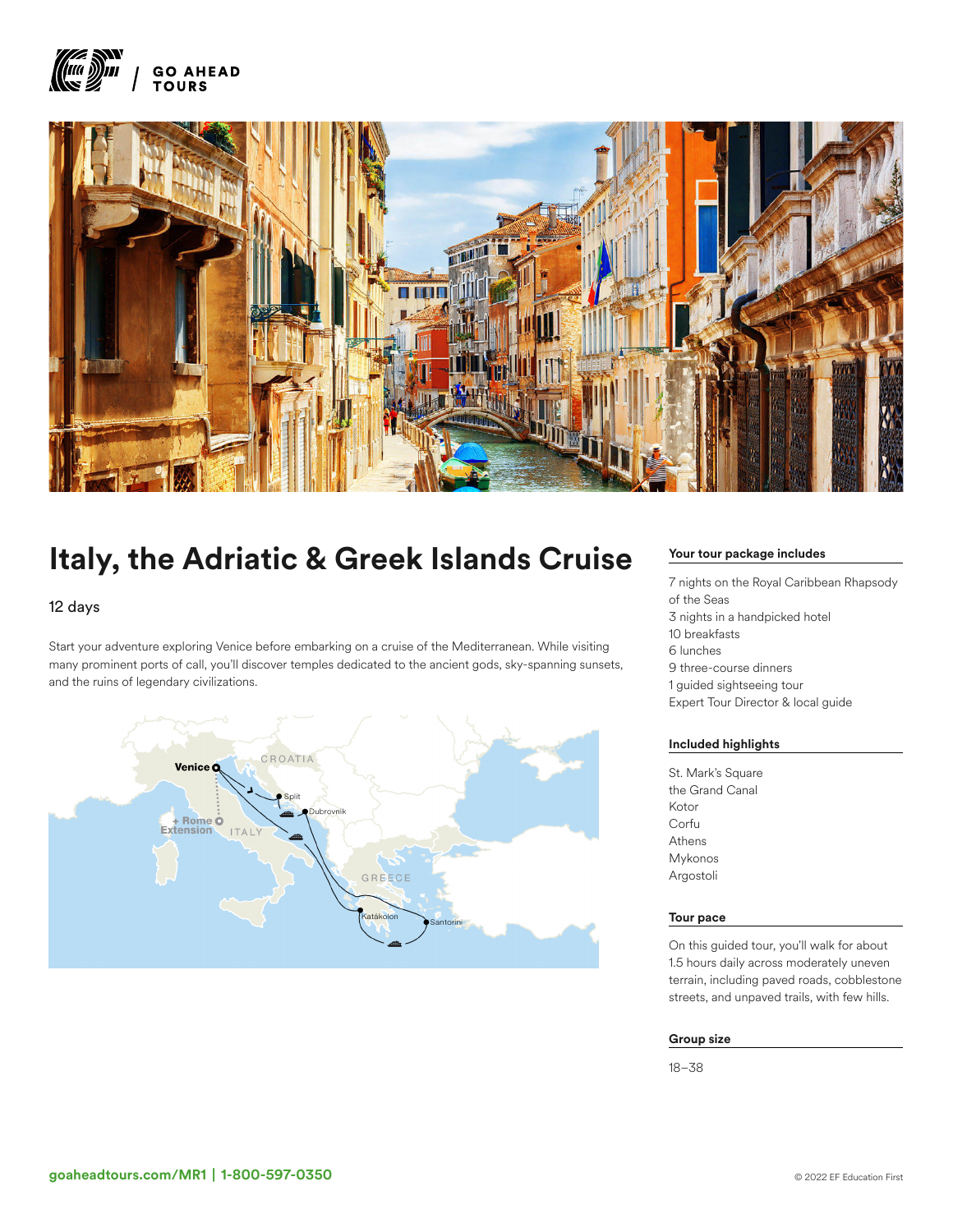



# Italy, the Adriatic & Greek Islands Cruise

# 12 days

Start your adventure exploring Venice before embarking on a cruise of the Mediterranean. While visiting many prominent ports of call, you'll discover temples dedicated to the ancient gods, sky-spanning sunsets, and the ruins of legendary civilizations.



# Your tour package includes

7 nights on the Royal Caribbean Rhapsody of the Seas 3 nights in a handpicked hotel 10 breakfasts 6 lunches 9 three-course dinners 1 guided sightseeing tour Expert Tour Director & local guide

## Included highlights

St. Mark's Square the Grand Canal Kotor Corfu Athens Mykonos Argostoli

#### Tour pace

On this guided tour, you'll walk for about 1.5 hours daily across moderately uneven terrain, including paved roads, cobblestone streets, and unpaved trails, with few hills.

#### Group size

18–38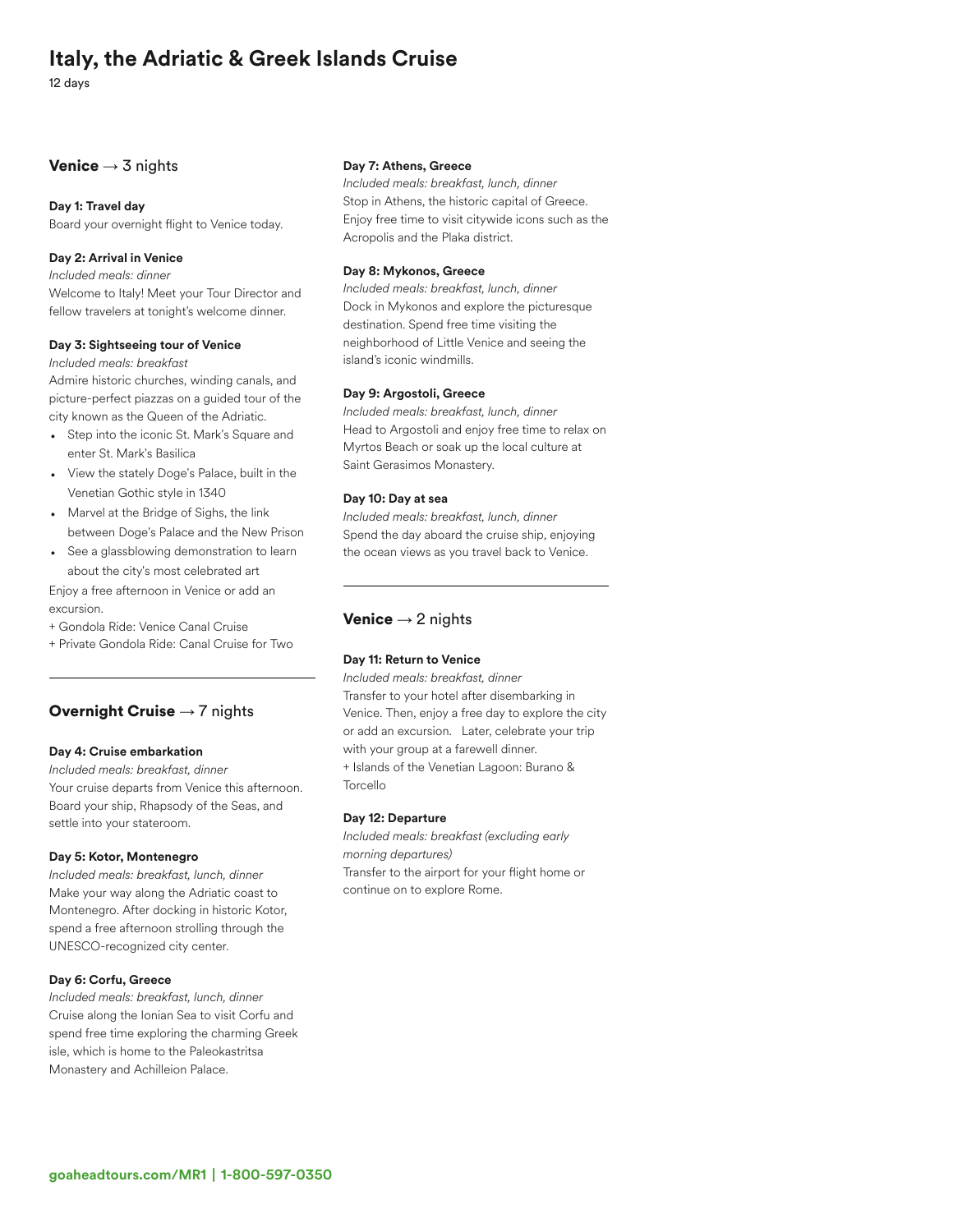# Italy, the Adriatic & Greek Islands Cruise

12 days

# Venice  $\rightarrow$  3 nights

#### Day 1: Travel day

Board your overnight flight to Venice today.

# Day 2: Arrival in Venice

*Included meals: dinner*

Welcome to Italy! Meet your Tour Director and fellow travelers at tonight's welcome dinner.

#### Day 3: Sightseeing tour of Venice

*Included meals: breakfast*

Admire historic churches, winding canals, and picture-perfect piazzas on a guided tour of the city known as the Queen of the Adriatic.

- Step into the iconic St. Mark's Square and enter St. Mark's Basilica
- View the stately Doge's Palace, built in the Venetian Gothic style in 1340
- Marvel at the Bridge of Sighs, the link between Doge's Palace and the New Prison
- See a glassblowing demonstration to learn about the city's most celebrated art

Enjoy a free afternoon in Venice or add an excursion.

+ Gondola Ride: Venice Canal Cruise

+ Private Gondola Ride: Canal Cruise for Two

# Overnight Cruise  $\rightarrow$  7 nights

# Day 4: Cruise embarkation

*Included meals: breakfast, dinner* Your cruise departs from Venice this afternoon. Board your ship, Rhapsody of the Seas, and settle into your stateroom.

#### Day 5: Kotor, Montenegro

*Included meals: breakfast, lunch, dinner* Make your way along the Adriatic coast to Montenegro. After docking in historic Kotor, spend a free afternoon strolling through the UNESCO-recognized city center.

#### Day 6: Corfu, Greece

*Included meals: breakfast, lunch, dinner* Cruise along the Ionian Sea to visit Corfu and spend free time exploring the charming Greek isle, which is home to the Paleokastritsa Monastery and Achilleion Palace.

#### Day 7: Athens, Greece

*Included meals: breakfast, lunch, dinner* Stop in Athens, the historic capital of Greece. Enjoy free time to visit citywide icons such as the Acropolis and the Plaka district.

#### Day 8: Mykonos, Greece

*Included meals: breakfast, lunch, dinner* Dock in Mykonos and explore the picturesque destination. Spend free time visiting the neighborhood of Little Venice and seeing the island's iconic windmills.

#### Day 9: Argostoli, Greece

*Included meals: breakfast, lunch, dinner* Head to Argostoli and enjoy free time to relax on Myrtos Beach or soak up the local culture at Saint Gerasimos Monastery.

#### Day 10: Day at sea

*Included meals: breakfast, lunch, dinner* Spend the day aboard the cruise ship, enjoying the ocean views as you travel back to Venice.

# **Venice**  $\rightarrow$  2 nights

### Day 11: Return to Venice

*Included meals: breakfast, dinner* Transfer to your hotel after disembarking in Venice. Then, enjoy a free day to explore the city or add an excursion. Later, celebrate your trip with your group at a farewell dinner. + Islands of the Venetian Lagoon: Burano & Torcello

#### Day 12: Departure

*Included meals: breakfast (excluding early morning departures)* Transfer to the airport for your flight home or continue on to explore Rome.